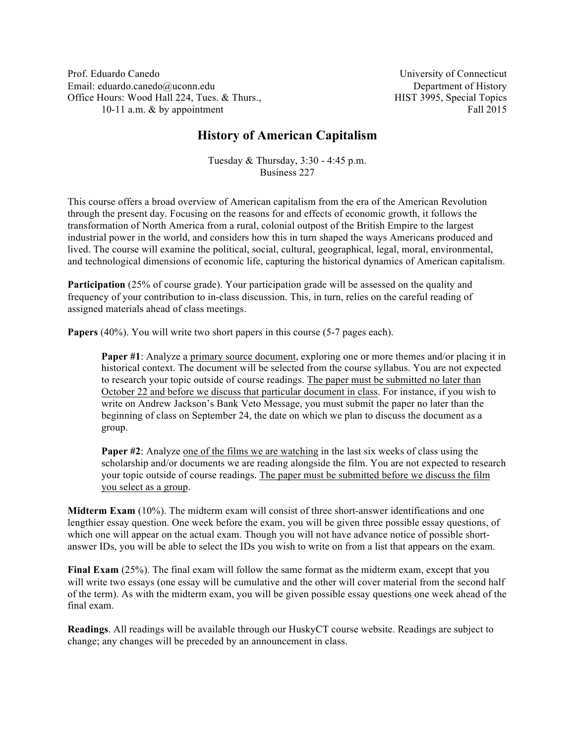Prof. Eduardo Canedo Email: eduardo.canedo@uconn.edu Office Hours: Wood Hall 224, Tues. & Thurs., 10-11 a.m. & by appointment

University of Connecticut Department of History HIST 3995, Special Topics Fall 2015

# **History of American Capitalism**

Tuesday & Thursday, 3:30 - 4:45 p.m. Business 227

This course offers a broad overview of American capitalism from the era of the American Revolution through the present day. Focusing on the reasons for and effects of economic growth, it follows the transformation of North America from a rural, colonial outpost of the British Empire to the largest industrial power in the world, and considers how this in turn shaped the ways Americans produced and lived. The course will examine the political, social, cultural, geographical, legal, moral, environmental, and technological dimensions of economic life, capturing the historical dynamics of American capitalism.

**Participation** (25% of course grade). Your participation grade will be assessed on the quality and frequency of your contribution to in-class discussion. This, in turn, relies on the careful reading of assigned materials ahead of class meetings.

**Papers** (40%). You will write two short papers in this course (5-7 pages each).

**Paper #1**: Analyze a primary source document, exploring one or more themes and/or placing it in historical context. The document will be selected from the course syllabus. You are not expected to research your topic outside of course readings. The paper must be submitted no later than October 22 and before we discuss that particular document in class. For instance, if you wish to write on Andrew Jackson's Bank Veto Message, you must submit the paper no later than the beginning of class on September 24, the date on which we plan to discuss the document as a group.

**Paper #2**: Analyze one of the films we are watching in the last six weeks of class using the scholarship and/or documents we are reading alongside the film. You are not expected to research your topic outside of course readings. The paper must be submitted before we discuss the film you select as a group.

**Midterm Exam** (10%). The midterm exam will consist of three short-answer identifications and one lengthier essay question. One week before the exam, you will be given three possible essay questions, of which one will appear on the actual exam. Though you will not have advance notice of possible shortanswer IDs, you will be able to select the IDs you wish to write on from a list that appears on the exam.

**Final Exam** (25%). The final exam will follow the same format as the midterm exam, except that you will write two essays (one essay will be cumulative and the other will cover material from the second half of the term). As with the midterm exam, you will be given possible essay questions one week ahead of the final exam.

**Readings**. All readings will be available through our HuskyCT course website. Readings are subject to change; any changes will be preceded by an announcement in class.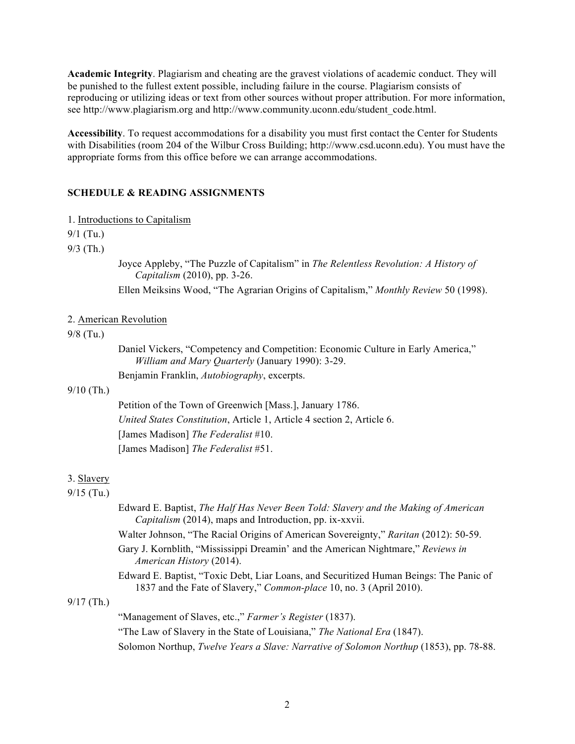**Academic Integrity**. Plagiarism and cheating are the gravest violations of academic conduct. They will be punished to the fullest extent possible, including failure in the course. Plagiarism consists of reproducing or utilizing ideas or text from other sources without proper attribution. For more information, see http://www.plagiarism.org and http://www.community.uconn.edu/student\_code.html.

**Accessibility**. To request accommodations for a disability you must first contact the Center for Students with Disabilities (room 204 of the Wilbur Cross Building; http://www.csd.uconn.edu). You must have the appropriate forms from this office before we can arrange accommodations.

# **SCHEDULE & READING ASSIGNMENTS**

1. Introductions to Capitalism

9/1 (Tu.)

9/3 (Th.)

Joyce Appleby, "The Puzzle of Capitalism" in *The Relentless Revolution: A History of Capitalism* (2010), pp. 3-26.

Ellen Meiksins Wood, "The Agrarian Origins of Capitalism," *Monthly Review* 50 (1998).

## 2. American Revolution

# 9/8 (Tu.)

Daniel Vickers, "Competency and Competition: Economic Culture in Early America," *William and Mary Quarterly* (January 1990): 3-29. Benjamin Franklin, *Autobiography*, excerpts.

#### 9/10 (Th.)

Petition of the Town of Greenwich [Mass.], January 1786. *United States Constitution*, Article 1, Article 4 section 2, Article 6. [James Madison] *The Federalist* #10. [James Madison] *The Federalist* #51.

#### 3. Slavery

# 9/15 (Tu.)

Edward E. Baptist, *The Half Has Never Been Told: Slavery and the Making of American Capitalism* (2014), maps and Introduction, pp. ix-xxvii.

Walter Johnson, "The Racial Origins of American Sovereignty," *Raritan* (2012): 50-59.

Gary J. Kornblith, "Mississippi Dreamin' and the American Nightmare," *Reviews in American History* (2014).

Edward E. Baptist, "Toxic Debt, Liar Loans, and Securitized Human Beings: The Panic of 1837 and the Fate of Slavery," *Common-place* 10, no. 3 (April 2010).

# 9/17 (Th.)

"Management of Slaves, etc.," *Farmer's Register* (1837). "The Law of Slavery in the State of Louisiana," *The National Era* (1847). Solomon Northup, *Twelve Years a Slave: Narrative of Solomon Northup* (1853), pp. 78-88.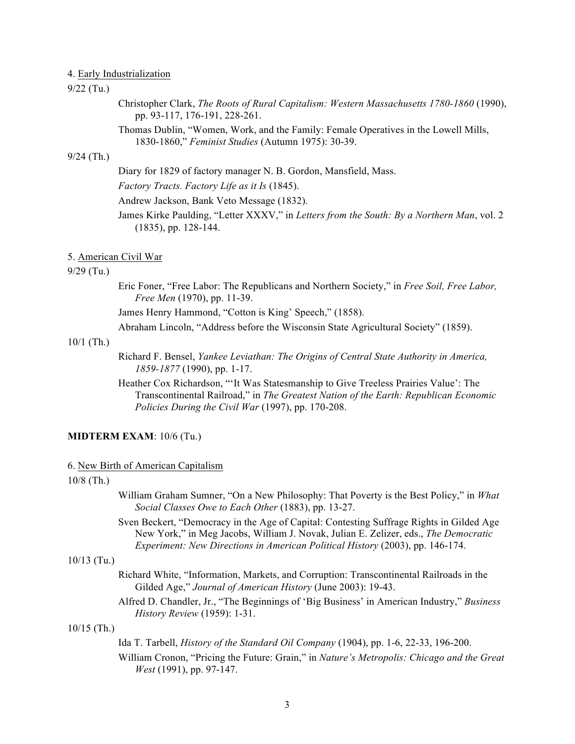## 4. Early Industrialization

# 9/22 (Tu.)

Christopher Clark, *The Roots of Rural Capitalism: Western Massachusetts 1780-1860* (1990), pp. 93-117, 176-191, 228-261.

Thomas Dublin, "Women, Work, and the Family: Female Operatives in the Lowell Mills, 1830-1860," *Feminist Studies* (Autumn 1975): 30-39.

### 9/24 (Th.)

Diary for 1829 of factory manager N. B. Gordon, Mansfield, Mass.

*Factory Tracts. Factory Life as it Is* (1845).

Andrew Jackson, Bank Veto Message (1832).

James Kirke Paulding, "Letter XXXV," in *Letters from the South: By a Northern Man*, vol. 2 (1835), pp. 128-144.

# 5. American Civil War

### 9/29 (Tu.)

Eric Foner, "Free Labor: The Republicans and Northern Society," in *Free Soil, Free Labor, Free Men* (1970), pp. 11-39.

James Henry Hammond, "Cotton is King' Speech," (1858).

Abraham Lincoln, "Address before the Wisconsin State Agricultural Society" (1859).

### 10/1 (Th.)

Richard F. Bensel, *Yankee Leviathan: The Origins of Central State Authority in America, 1859-1877* (1990), pp. 1-17.

Heather Cox Richardson, "'It Was Statesmanship to Give Treeless Prairies Value': The Transcontinental Railroad," in *The Greatest Nation of the Earth: Republican Economic Policies During the Civil War* (1997), pp. 170-208.

#### **MIDTERM EXAM**: 10/6 (Tu.)

#### 6. New Birth of American Capitalism

# 10/8 (Th.)

- William Graham Sumner, "On a New Philosophy: That Poverty is the Best Policy," in *What Social Classes Owe to Each Other* (1883), pp. 13-27.
- Sven Beckert, "Democracy in the Age of Capital: Contesting Suffrage Rights in Gilded Age New York," in Meg Jacobs, William J. Novak, Julian E. Zelizer, eds., *The Democratic Experiment: New Directions in American Political History* (2003), pp. 146-174.

# 10/13 (Tu.)

- Richard White, "Information, Markets, and Corruption: Transcontinental Railroads in the Gilded Age," *Journal of American History* (June 2003): 19-43.
- Alfred D. Chandler, Jr., "The Beginnings of 'Big Business' in American Industry," *Business History Review* (1959): 1-31.

### 10/15 (Th.)

Ida T. Tarbell, *History of the Standard Oil Company* (1904), pp. 1-6, 22-33, 196-200.

William Cronon, "Pricing the Future: Grain," in *Nature's Metropolis: Chicago and the Great West* (1991), pp. 97-147.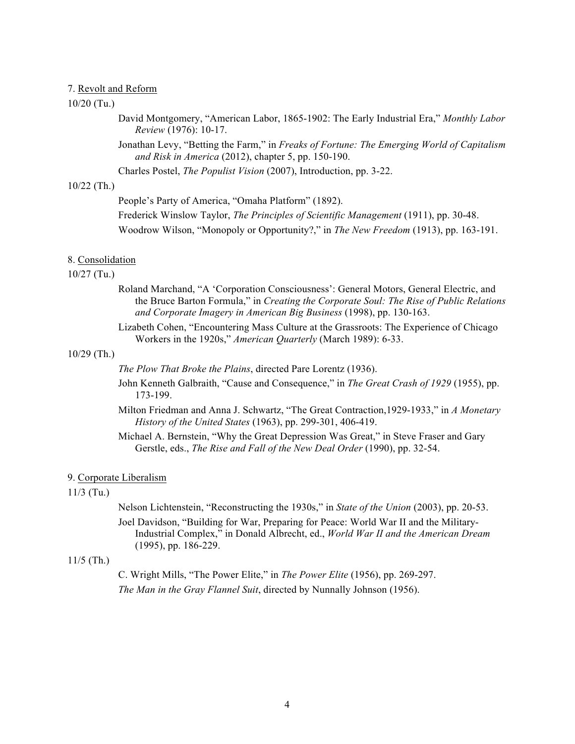# 7. Revolt and Reform

### 10/20 (Tu.)

David Montgomery, "American Labor, 1865-1902: The Early Industrial Era," *Monthly Labor Review* (1976): 10-17.

Jonathan Levy, "Betting the Farm," in *Freaks of Fortune: The Emerging World of Capitalism and Risk in America* (2012), chapter 5, pp. 150-190.

Charles Postel, *The Populist Vision* (2007), Introduction, pp. 3-22.

# 10/22 (Th.)

People's Party of America, "Omaha Platform" (1892).

Frederick Winslow Taylor, *The Principles of Scientific Management* (1911), pp. 30-48.

Woodrow Wilson, "Monopoly or Opportunity?," in *The New Freedom* (1913), pp. 163-191.

#### 8. Consolidation

# 10/27 (Tu.)

- Roland Marchand, "A 'Corporation Consciousness': General Motors, General Electric, and the Bruce Barton Formula," in *Creating the Corporate Soul: The Rise of Public Relations and Corporate Imagery in American Big Business* (1998), pp. 130-163.
- Lizabeth Cohen, "Encountering Mass Culture at the Grassroots: The Experience of Chicago Workers in the 1920s," *American Quarterly* (March 1989): 6-33.

### 10/29 (Th.)

*The Plow That Broke the Plains*, directed Pare Lorentz (1936).

- John Kenneth Galbraith, "Cause and Consequence," in *The Great Crash of 1929* (1955), pp. 173-199.
- Milton Friedman and Anna J. Schwartz, "The Great Contraction,1929-1933," in *A Monetary History of the United States* (1963), pp. 299-301, 406-419.
- Michael A. Bernstein, "Why the Great Depression Was Great," in Steve Fraser and Gary Gerstle, eds., *The Rise and Fall of the New Deal Order* (1990), pp. 32-54.

### 9. Corporate Liberalism

#### 11/3 (Tu.)

Nelson Lichtenstein, "Reconstructing the 1930s," in *State of the Union* (2003), pp. 20-53.

Joel Davidson, "Building for War, Preparing for Peace: World War II and the Military-Industrial Complex," in Donald Albrecht, ed., *World War II and the American Dream* (1995), pp. 186-229.

# 11/5 (Th.)

C. Wright Mills, "The Power Elite," in *The Power Elite* (1956), pp. 269-297. *The Man in the Gray Flannel Suit*, directed by Nunnally Johnson (1956).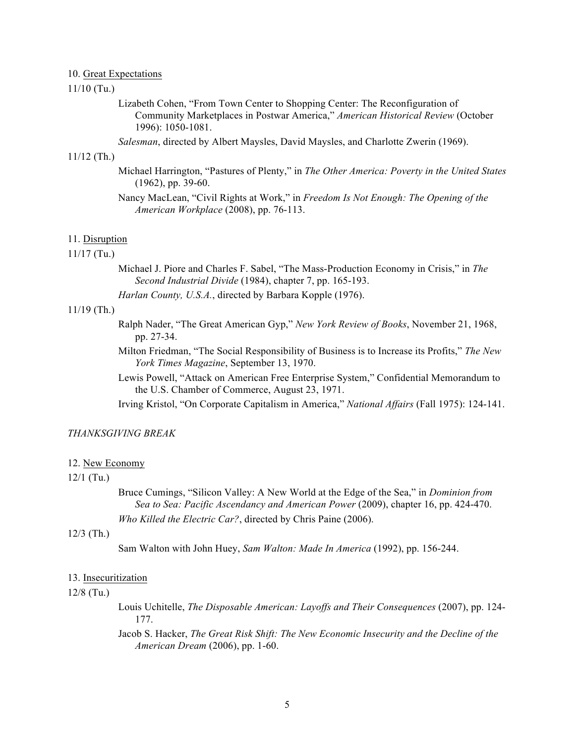# 10. Great Expectations

# 11/10 (Tu.)

Lizabeth Cohen, "From Town Center to Shopping Center: The Reconfiguration of Community Marketplaces in Postwar America," *American Historical Review* (October 1996): 1050-1081.

*Salesman*, directed by Albert Maysles, David Maysles, and Charlotte Zwerin (1969).

### 11/12 (Th.)

- Michael Harrington, "Pastures of Plenty," in *The Other America: Poverty in the United States* (1962), pp. 39-60.
- Nancy MacLean, "Civil Rights at Work," in *Freedom Is Not Enough: The Opening of the American Workplace* (2008), pp. 76-113.

### 11. Disruption

# 11/17 (Tu.)

- Michael J. Piore and Charles F. Sabel, "The Mass-Production Economy in Crisis," in *The Second Industrial Divide* (1984), chapter 7, pp. 165-193.
- *Harlan County, U.S.A.*, directed by Barbara Kopple (1976).

# 11/19 (Th.)

- Ralph Nader, "The Great American Gyp," *New York Review of Books*, November 21, 1968, pp. 27-34.
- Milton Friedman, "The Social Responsibility of Business is to Increase its Profits," *The New York Times Magazine*, September 13, 1970.
- Lewis Powell, "Attack on American Free Enterprise System," Confidential Memorandum to the U.S. Chamber of Commerce, August 23, 1971.
- Irving Kristol, "On Corporate Capitalism in America," *National Affairs* (Fall 1975): 124-141.

# *THANKSGIVING BREAK*

#### 12. New Economy

### 12/1 (Tu.)

Bruce Cumings, "Silicon Valley: A New World at the Edge of the Sea," in *Dominion from Sea to Sea: Pacific Ascendancy and American Power* (2009), chapter 16, pp. 424-470. *Who Killed the Electric Car?*, directed by Chris Paine (2006).

### 12/3 (Th.)

Sam Walton with John Huey, *Sam Walton: Made In America* (1992), pp. 156-244.

### 13. Insecuritization

#### 12/8 (Tu.)

- Louis Uchitelle, *The Disposable American: Layoffs and Their Consequences* (2007), pp. 124- 177.
- Jacob S. Hacker, *The Great Risk Shift: The New Economic Insecurity and the Decline of the American Dream* (2006), pp. 1-60.